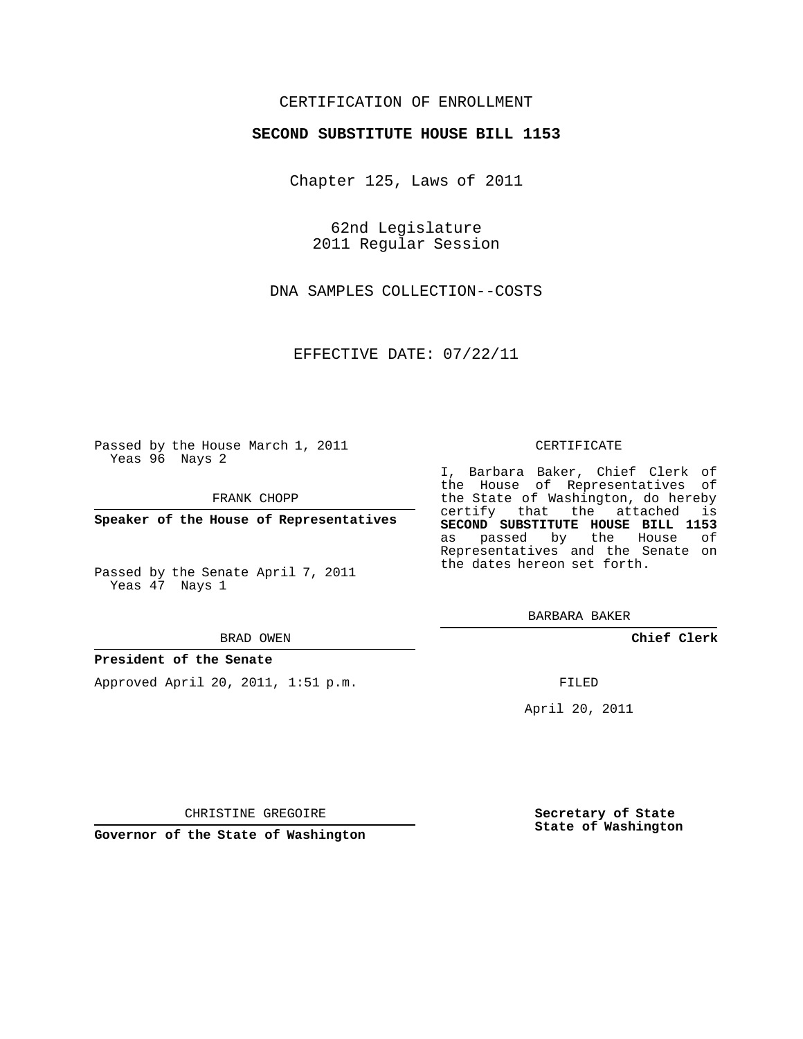## CERTIFICATION OF ENROLLMENT

### **SECOND SUBSTITUTE HOUSE BILL 1153**

Chapter 125, Laws of 2011

62nd Legislature 2011 Regular Session

DNA SAMPLES COLLECTION--COSTS

EFFECTIVE DATE: 07/22/11

Passed by the House March 1, 2011 Yeas 96 Nays 2

FRANK CHOPP

**Speaker of the House of Representatives**

Passed by the Senate April 7, 2011 Yeas 47 Nays 1

#### BRAD OWEN

#### **President of the Senate**

Approved April 20, 2011, 1:51 p.m.

#### CERTIFICATE

I, Barbara Baker, Chief Clerk of the House of Representatives of the State of Washington, do hereby certify that the attached is **SECOND SUBSTITUTE HOUSE BILL 1153** as passed by the House of Representatives and the Senate on the dates hereon set forth.

BARBARA BAKER

**Chief Clerk**

FILED

April 20, 2011

CHRISTINE GREGOIRE

**Governor of the State of Washington**

**Secretary of State State of Washington**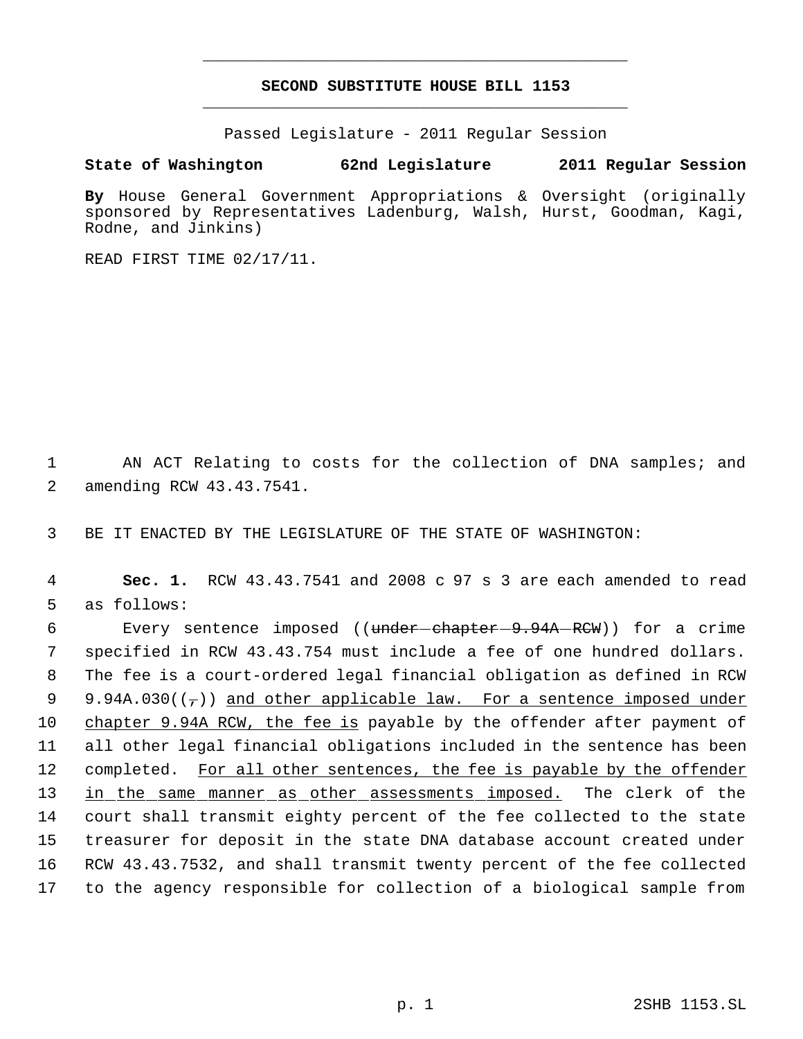# **SECOND SUBSTITUTE HOUSE BILL 1153** \_\_\_\_\_\_\_\_\_\_\_\_\_\_\_\_\_\_\_\_\_\_\_\_\_\_\_\_\_\_\_\_\_\_\_\_\_\_\_\_\_\_\_\_\_

\_\_\_\_\_\_\_\_\_\_\_\_\_\_\_\_\_\_\_\_\_\_\_\_\_\_\_\_\_\_\_\_\_\_\_\_\_\_\_\_\_\_\_\_\_

Passed Legislature - 2011 Regular Session

## **State of Washington 62nd Legislature 2011 Regular Session**

**By** House General Government Appropriations & Oversight (originally sponsored by Representatives Ladenburg, Walsh, Hurst, Goodman, Kagi, Rodne, and Jinkins)

READ FIRST TIME 02/17/11.

 1 AN ACT Relating to costs for the collection of DNA samples; and 2 amending RCW 43.43.7541.

3 BE IT ENACTED BY THE LEGISLATURE OF THE STATE OF WASHINGTON:

 4 **Sec. 1.** RCW 43.43.7541 and 2008 c 97 s 3 are each amended to read 5 as follows:

6 Every sentence imposed ((<del>under-chapter 9.94A RCW</del>)) for a crime 7 specified in RCW 43.43.754 must include a fee of one hundred dollars. 8 The fee is a court-ordered legal financial obligation as defined in RCW 9 9.94A.030( $(\tau)$ ) and other applicable law. For a sentence imposed under 10 chapter 9.94A RCW, the fee is payable by the offender after payment of 11 all other legal financial obligations included in the sentence has been 12 completed. For all other sentences, the fee is payable by the offender 13 in the same manner as other assessments imposed. The clerk of the 14 court shall transmit eighty percent of the fee collected to the state 15 treasurer for deposit in the state DNA database account created under 16 RCW 43.43.7532, and shall transmit twenty percent of the fee collected 17 to the agency responsible for collection of a biological sample from